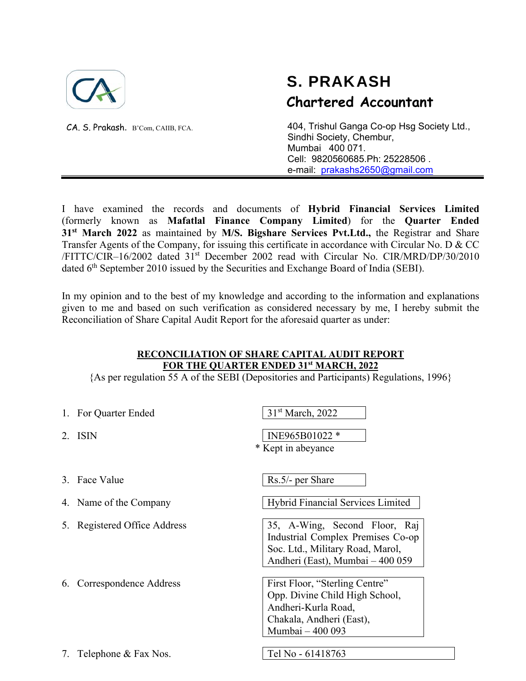

CA. S. Prakash. B'Com, CAIIB, FCA.

# S. PRAKASH  **Chartered Accountant**

404, Trishul Ganga Co-op Hsg Society Ltd., Sindhi Society, Chembur, Mumbai 400 071. Cell: 9820560685.Ph: 25228506 . e-mail: prakashs2650@gmail.com

I have examined the records and documents of **Hybrid Financial Services Limited** (formerly known as **Mafatlal Finance Company Limited**) for the **Quarter Ended 31st March 2022** as maintained by **M/S. Bigshare Services Pvt.Ltd.,** the Registrar and Share Transfer Agents of the Company, for issuing this certificate in accordance with Circular No. D & CC /FITTC/CIR–16/2002 dated 31st December 2002 read with Circular No. CIR/MRD/DP/30/2010 dated 6th September 2010 issued by the Securities and Exchange Board of India (SEBI).

In my opinion and to the best of my knowledge and according to the information and explanations given to me and based on such verification as considered necessary by me, I hereby submit the Reconciliation of Share Capital Audit Report for the aforesaid quarter as under:

### **RECONCILIATION OF SHARE CAPITAL AUDIT REPORT FOR THE QUARTER ENDED 31st MARCH, 2022**

{As per regulation 55 A of the SEBI (Depositories and Participants) Regulations, 1996}

|               | 1. For Quarter Ended         | 31 <sup>st</sup> March, 2022                                                                                                               |
|---------------|------------------------------|--------------------------------------------------------------------------------------------------------------------------------------------|
| $\mathcal{P}$ | ISIN                         | INE965B01022 *<br>* Kept in abeyance                                                                                                       |
|               |                              |                                                                                                                                            |
|               | 3. Face Value                | Rs.5/- per Share                                                                                                                           |
|               | 4. Name of the Company       | Hybrid Financial Services Limited                                                                                                          |
|               | 5. Registered Office Address | 35, A-Wing, Second Floor, Raj<br>Industrial Complex Premises Co-op<br>Soc. Ltd., Military Road, Marol,<br>Andheri (East), Mumbai – 400 059 |
|               | 6. Correspondence Address    | First Floor, "Sterling Centre"<br>Opp. Divine Child High School,<br>Andheri-Kurla Road,<br>Chakala, Andheri (East),<br>Mumbai - 400 093    |
| 7.            | Telephone & Fax Nos.         | Tel No - 61418763                                                                                                                          |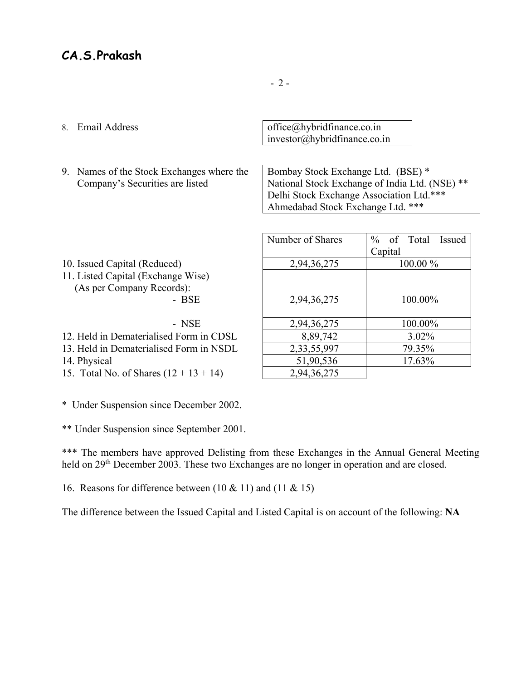### **CA.S.Prakash**

- 
- 9. Names of the Stock Exchanges where the Company's Securities are listed

8. Email Address  $\qquad \qquad$  office $\omega$ hybridfinance.co.in investor@hybridfinance.co.in

> Bombay Stock Exchange Ltd. (BSE) \* National Stock Exchange of India Ltd. (NSE) \*\* Delhi Stock Exchange Association Ltd.\*\*\* Ahmedabad Stock Exchange Ltd. \*\*\*

|                                          | Number of Shares | $%$ of Total<br>Issued |
|------------------------------------------|------------------|------------------------|
|                                          |                  | Capital                |
| 10. Issued Capital (Reduced)             | 2,94,36,275      | $100.00\%$             |
| 11. Listed Capital (Exchange Wise)       |                  |                        |
| (As per Company Records):                |                  |                        |
| - BSE                                    | 2,94,36,275      | 100.00%                |
|                                          |                  |                        |
| - NSE                                    | 2,94,36,275      | 100.00%                |
| 12. Held in Dematerialised Form in CDSL  | 8,89,742         | $3.02\%$               |
| 13. Held in Dematerialised Form in NSDL  | 2,33,55,997      | 79.35%                 |
| 14. Physical                             | 51,90,536        | 17.63%                 |
| 15. Total No. of Shares $(12 + 13 + 14)$ | 2,94,36,275      |                        |
|                                          |                  |                        |

\* Under Suspension since December 2002.

\*\* Under Suspension since September 2001.

\*\*\* The members have approved Delisting from these Exchanges in the Annual General Meeting held on 29<sup>th</sup> December 2003. These two Exchanges are no longer in operation and are closed.

16. Reasons for difference between  $(10 \& 11)$  and  $(11 \& 15)$ 

The difference between the Issued Capital and Listed Capital is on account of the following: **NA**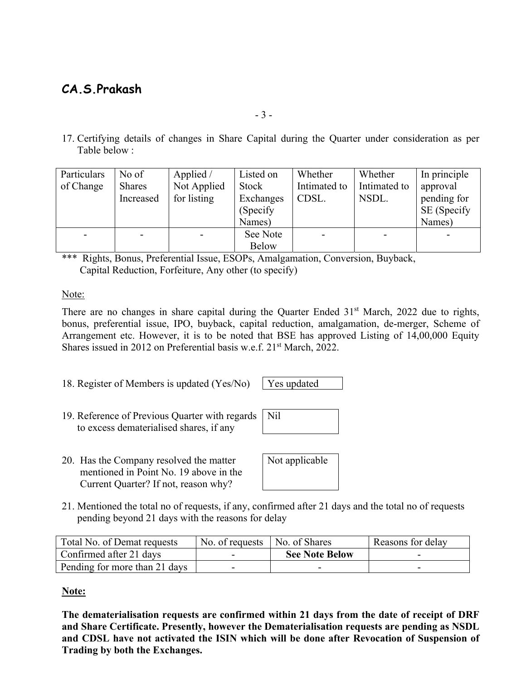# **CA.S.Prakash**

17. Certifying details of changes in Share Capital during the Quarter under consideration as per Table below :

| Particulars | No of         | Applied /   | Listed on    | Whether      | Whether      | In principle |
|-------------|---------------|-------------|--------------|--------------|--------------|--------------|
| of Change   | <b>Shares</b> | Not Applied | Stock        | Intimated to | Intimated to | approval     |
|             | Increased     | for listing | Exchanges    | CDSL.        | NSDL.        | pending for  |
|             |               |             | (Specify)    |              |              | SE (Specify  |
|             |               |             | Names)       |              |              | Names)       |
|             |               |             | See Note     |              |              |              |
|             |               |             | <b>Below</b> |              |              |              |

\*\*\* Rights, Bonus, Preferential Issue, ESOPs, Amalgamation, Conversion, Buyback, Capital Reduction, Forfeiture, Any other (to specify)

#### Note:

There are no changes in share capital during the Quarter Ended 31<sup>st</sup> March, 2022 due to rights, bonus, preferential issue, IPO, buyback, capital reduction, amalgamation, de-merger, Scheme of Arrangement etc. However, it is to be noted that BSE has approved Listing of 14,00,000 Equity Shares issued in 2012 on Preferential basis w.e.f. 21<sup>st</sup> March, 2022.

Nil

18. Register of Members is updated  $(Yes/No)$ 

| es undated |
|------------|
|------------|

- 19. Reference of Previous Quarter with regards to excess dematerialised shares, if any
- 20. Has the Company resolved the matter mentioned in Point No. 19 above in the Current Quarter? If not, reason why?

| Not applicable |  |
|----------------|--|

21. Mentioned the total no of requests, if any, confirmed after 21 days and the total no of requests pending beyond 21 days with the reasons for delay

| Total No. of Demat requests   | No. of requests $\vert$ No. of Shares |                       | Reasons for delay |
|-------------------------------|---------------------------------------|-----------------------|-------------------|
| Confirmed after 21 days       |                                       | <b>See Note Below</b> |                   |
| Pending for more than 21 days |                                       |                       |                   |

#### **Note:**

**The dematerialisation requests are confirmed within 21 days from the date of receipt of DRF and Share Certificate. Presently, however the Dematerialisation requests are pending as NSDL and CDSL have not activated the ISIN which will be done after Revocation of Suspension of Trading by both the Exchanges.**